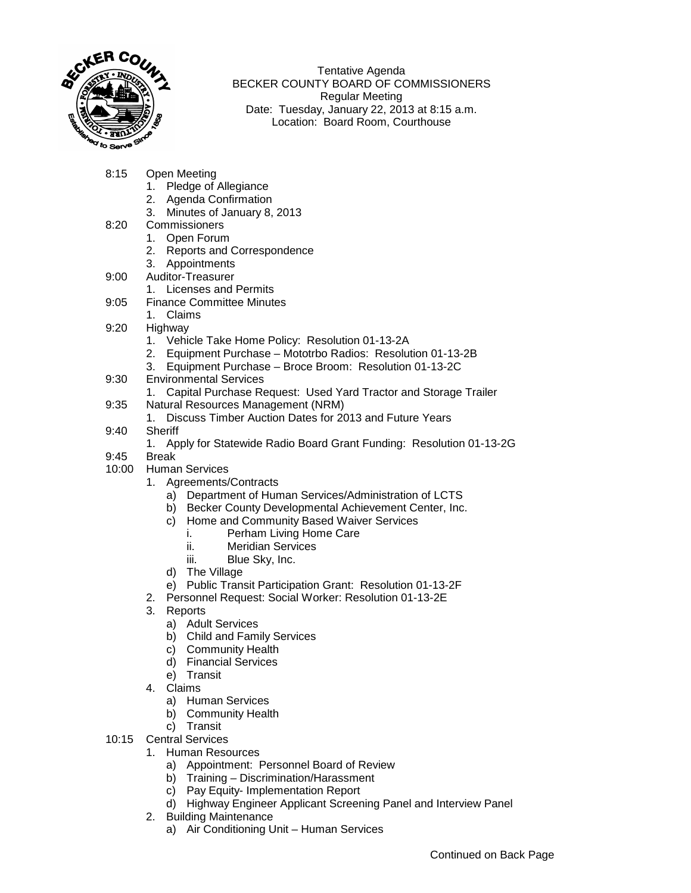

Tentative Agenda BECKER COUNTY BOARD OF COMMISSIONERS Regular Meeting Date: Tuesday, January 22, 2013 at 8:15 a.m. Location: Board Room, Courthouse

- 8:15 Open Meeting
	- 1. Pledge of Allegiance
	- 2. Agenda Confirmation
	- 3. Minutes of January 8, 2013
- 8:20 Commissioners
	- 1. Open Forum
	- 2. Reports and Correspondence
	- 3. Appointments
- 9:00 Auditor-Treasurer
	- 1. Licenses and Permits
- 9:05 Finance Committee Minutes
	- 1. Claims
- 9:20 Highway
	- 1. Vehicle Take Home Policy: Resolution 01-13-2A
	- 2. Equipment Purchase Mototrbo Radios: Resolution 01-13-2B
	- 3. Equipment Purchase Broce Broom: Resolution 01-13-2C
- 9:30 Environmental Services
	- 1. Capital Purchase Request: Used Yard Tractor and Storage Trailer
- 9:35 Natural Resources Management (NRM)
	- 1. Discuss Timber Auction Dates for 2013 and Future Years
- 9:40 Sheriff
	- 1. Apply for Statewide Radio Board Grant Funding: Resolution 01-13-2G
- 9:45 Break
- 10:00 Human Services
	- 1. Agreements/Contracts
		- a) Department of Human Services/Administration of LCTS
		- b) Becker County Developmental Achievement Center, Inc.
		- c) Home and Community Based Waiver Services
			- i. Perham Living Home Care
			- ii. Meridian Services
			- iii. Blue Sky, Inc.
		- d) The Village
		- e) Public Transit Participation Grant: Resolution 01-13-2F
	- 2. Personnel Request: Social Worker: Resolution 01-13-2E
	- 3. Reports
		- a) Adult Services
		- b) Child and Family Services
		- c) Community Health
		- d) Financial Services
		- e) Transit
	- 4. Claims
		- a) Human Services
		- b) Community Health
	- c) Transit
- 10:15 Central Services
	- 1. Human Resources
		- a) Appointment: Personnel Board of Review
		- b) Training Discrimination/Harassment
		- c) Pay Equity- Implementation Report
		- d) Highway Engineer Applicant Screening Panel and Interview Panel
	- 2. Building Maintenance
		- a) Air Conditioning Unit Human Services